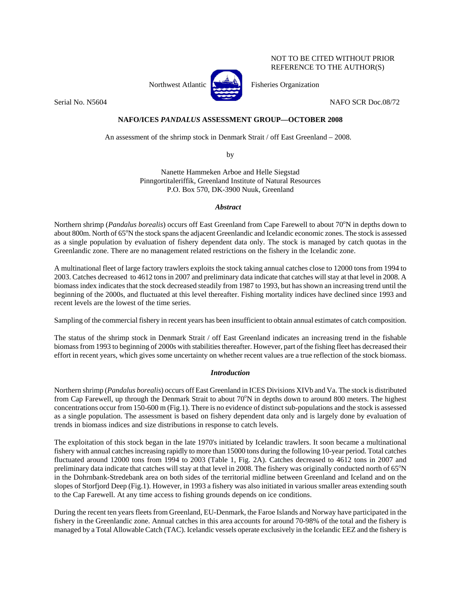NOT TO BE CITED WITHOUT PRIOR REFERENCE TO THE AUTHOR(S)



Northwest Atlantic  $\begin{bmatrix} 1 & 1 \\ 1 & 1 \end{bmatrix}$  Fisheries Organization

Serial No. N5604 NAFO SCR Doc.08/72

# **NAFO/ICES** *PANDALUS* **ASSESSMENT GROUP—OCTOBER 2008**

An assessment of the shrimp stock in Denmark Strait / off East Greenland – 2008.

by

Nanette Hammeken Arboe and Helle Siegstad Pinngortitaleriffik, Greenland Institute of Natural Resources P.O. Box 570, DK-3900 Nuuk, Greenland

# *Abstract*

Northern shrimp (*Pandalus borealis*) occurs off East Greenland from Cape Farewell to about 70°N in depths down to about 800m. North of 65°N the stock spans the adjacent Greenlandic and Icelandic economic zones. The stock is assessed as a single population by evaluation of fishery dependent data only. The stock is managed by catch quotas in the Greenlandic zone. There are no management related restrictions on the fishery in the Icelandic zone.

A multinational fleet of large factory trawlers exploits the stock taking annual catches close to 12000 tons from 1994 to 2003. Catches decreased to 4612 tons in 2007 and preliminary data indicate that catches will stay at that level in 2008. A biomass index indicates that the stock decreased steadily from 1987 to 1993, but has shown an increasing trend until the beginning of the 2000s, and fluctuated at this level thereafter. Fishing mortality indices have declined since 1993 and recent levels are the lowest of the time series.

Sampling of the commercial fishery in recent years has been insufficient to obtain annual estimates of catch composition.

The status of the shrimp stock in Denmark Strait / off East Greenland indicates an increasing trend in the fishable biomass from 1993 to beginning of 2000s with stabilities thereafter. However, part of the fishing fleet has decreased their effort in recent years, which gives some uncertainty on whether recent values are a true reflection of the stock biomass.

# *Introduction*

Northern shrimp (*Pandalus borealis*) occurs off East Greenland in ICES Divisions XIVb and Va. The stock is distributed from Cap Farewell, up through the Denmark Strait to about 70°N in depths down to around 800 meters. The highest concentrations occur from 150-600 m (Fig.1). There is no evidence of distinct sub-populations and the stock is assessed as a single population. The assessment is based on fishery dependent data only and is largely done by evaluation of trends in biomass indices and size distributions in response to catch levels.

The exploitation of this stock began in the late 1970's initiated by Icelandic trawlers. It soon became a multinational fishery with annual catches increasing rapidly to more than 15000 tons during the following 10-year period. Total catches fluctuated around 12000 tons from 1994 to 2003 (Table 1, Fig. 2A). Catches decreased to 4612 tons in 2007 and preliminary data indicate that catches will stay at that level in 2008. The fishery was originally conducted north of  $65^{\circ}N$ in the Dohrnbank-Stredebank area on both sides of the territorial midline between Greenland and Iceland and on the slopes of Storfjord Deep (Fig.1). However, in 1993 a fishery was also initiated in various smaller areas extending south to the Cap Farewell. At any time access to fishing grounds depends on ice conditions.

During the recent ten years fleets from Greenland, EU-Denmark, the Faroe Islands and Norway have participated in the fishery in the Greenlandic zone. Annual catches in this area accounts for around 70-98% of the total and the fishery is managed by a Total Allowable Catch (TAC). Icelandic vessels operate exclusively in the Icelandic EEZ and the fishery is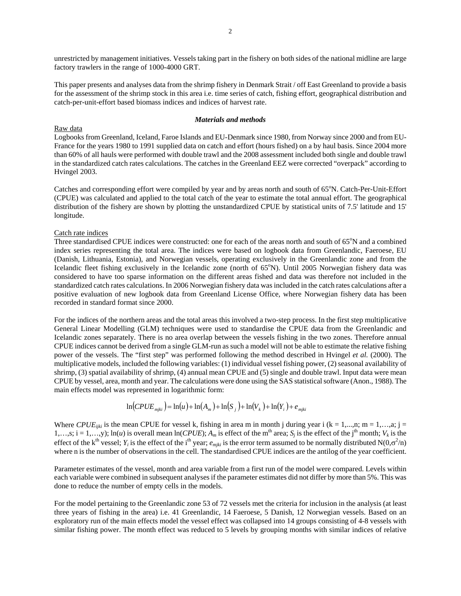unrestricted by management initiatives. Vessels taking part in the fishery on both sides of the national midline are large factory trawlers in the range of 1000-4000 GRT.

This paper presents and analyses data from the shrimp fishery in Denmark Strait / off East Greenland to provide a basis for the assessment of the shrimp stock in this area i.e. time series of catch, fishing effort, geographical distribution and catch-per-unit-effort based biomass indices and indices of harvest rate.

# *Materials and methods*

## Raw data

Logbooks from Greenland, Iceland, Faroe Islands and EU-Denmark since 1980, from Norway since 2000 and from EU-France for the years 1980 to 1991 supplied data on catch and effort (hours fished) on a by haul basis. Since 2004 more than 60% of all hauls were performed with double trawl and the 2008 assessment included both single and double trawl in the standardized catch rates calculations. The catches in the Greenland EEZ were corrected "overpack" according to Hvingel 2003.

Catches and corresponding effort were compiled by year and by areas north and south of 65°N. Catch-Per-Unit-Effort (CPUE) was calculated and applied to the total catch of the year to estimate the total annual effort. The geographical distribution of the fishery are shown by plotting the unstandardized CPUE by statistical units of 7.5' latitude and 15' longitude.

## Catch rate indices

Three standardised CPUE indices were constructed: one for each of the areas north and south of 65°N and a combined index series representing the total area. The indices were based on logbook data from Greenlandic, Faeroese, EU (Danish, Lithuania, Estonia), and Norwegian vessels, operating exclusively in the Greenlandic zone and from the Icelandic fleet fishing exclusively in the Icelandic zone (north of 65°N). Until 2005 Norwegian fishery data was considered to have too sparse information on the different areas fished and data was therefore not included in the standardized catch rates calculations. In 2006 Norwegian fishery data was included in the catch rates calculations after a positive evaluation of new logbook data from Greenland License Office, where Norwegian fishery data has been recorded in standard format since 2000.

For the indices of the northern areas and the total areas this involved a two-step process. In the first step multiplicative General Linear Modelling (GLM) techniques were used to standardise the CPUE data from the Greenlandic and Icelandic zones separately. There is no area overlap between the vessels fishing in the two zones. Therefore annual CPUE indices cannot be derived from a single GLM-run as such a model will not be able to estimate the relative fishing power of the vessels. The "first step" was performed following the method described in Hvingel *et al.* (2000). The multiplicative models, included the following variables: (1) individual vessel fishing power, (2) seasonal availability of shrimp, (3) spatial availability of shrimp, (4) annual mean CPUE and (5) single and double trawl. Input data were mean CPUE by vessel, area, month and year. The calculations were done using the SAS statistical software (Anon., 1988). The main effects model was represented in logarithmic form:

$$
\ln(CPUE_{miki}) = \ln(u) + \ln(A_m) + \ln(S_i) + \ln(V_k) + \ln(Y_i) + e_{miki}
$$

Where *CPUE<sub>liki</sub>* is the mean CPUE for vessel k, fishing in area m in month j during year i (k = 1,...,n; m = 1,...,a; j = 1,…,s; i = 1,…,y);  $\ln(u)$  is overall mean  $\ln(CPUE)$ ;  $A_m$  is effect of the m<sup>th</sup> area;  $S_j$  is the effect of the j<sup>th</sup> month;  $V_k$  is the effect of the k<sup>th</sup> vessel; *Y<sub>i</sub>* is the effect of the i<sup>th</sup> year;  $e_{mjki}$  is the error term assumed to be normally distributed N(0, $\sigma^2/n$ ) where n is the number of observations in the cell. The standardised CPUE indices are the antilog of the year coefficient.

Parameter estimates of the vessel, month and area variable from a first run of the model were compared. Levels within each variable were combined in subsequent analyses if the parameter estimates did not differ by more than 5%. This was done to reduce the number of empty cells in the models.

For the model pertaining to the Greenlandic zone 53 of 72 vessels met the criteria for inclusion in the analysis (at least three years of fishing in the area) i.e. 41 Greenlandic, 14 Faeroese, 5 Danish, 12 Norwegian vessels. Based on an exploratory run of the main effects model the vessel effect was collapsed into 14 groups consisting of 4-8 vessels with similar fishing power. The month effect was reduced to 5 levels by grouping months with similar indices of relative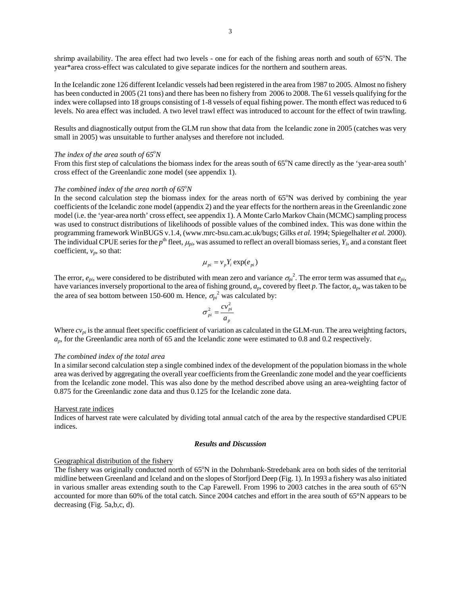shrimp availability. The area effect had two levels - one for each of the fishing areas north and south of 65°N. The year\*area cross-effect was calculated to give separate indices for the northern and southern areas.

In the Icelandic zone 126 different Icelandic vessels had been registered in the area from 1987 to 2005. Almost no fishery has been conducted in 2005 (21 tons) and there has been no fishery from 2006 to 2008. The 61 vessels qualifying for the index were collapsed into 18 groups consisting of 1-8 vessels of equal fishing power. The month effect was reduced to 6 levels. No area effect was included. A two level trawl effect was introduced to account for the effect of twin trawling.

Results and diagnostically output from the GLM run show that data from the Icelandic zone in 2005 (catches was very small in 2005) was unsuitable to further analyses and therefore not included.

# *The index of the area south of 65<sup>o</sup>N*

From this first step of calculations the biomass index for the areas south of 65°N came directly as the 'year-area south' cross effect of the Greenlandic zone model (see appendix 1).

# The combined index of the area north of  $65^{\circ}N$

In the second calculation step the biomass index for the areas north of 65°N was derived by combining the year coefficients of the Icelandic zone model (appendix 2) and the year effects for the northern areas in the Greenlandic zone model (i.e. the 'year-area north' cross effect, see appendix 1). A Monte Carlo Markov Chain (MCMC) sampling process was used to construct distributions of likelihoods of possible values of the combined index. This was done within the programming framework WinBUGS v.1.4, (www.mrc-bsu.cam.ac.uk/bugs; Gilks *et al.* 1994; Spiegelhalter *et al.* 2000). The individual CPUE series for the  $p^{\text{th}}$  fleet,  $\mu_{pi}$ , was assumed to reflect an overall biomass series,  $Y_i$ , and a constant fleet coefficient,  $v_p$ , so that:

$$
\mu_{pi} = v_p Y_i \exp(e_{pi})
$$

The error,  $e_{pi}$ , were considered to be distributed with mean zero and variance  $\sigma_{pi}^2$ . The error term was assumed that  $e_{pi}$ , have variances inversely proportional to the area of fishing ground, *ap*, covered by fleet *p*. The factor, *ap*, was taken to be the area of sea bottom between 150-600 m. Hence,  $\sigma_{pi}^2$  was calculated by:

$$
\sigma_{pi}^2 = \frac{cv_{pi}^2}{a_p}
$$

Where  $cv_{pi}$  is the annual fleet specific coefficient of variation as calculated in the GLM-run. The area weighting factors, *ap*, for the Greenlandic area north of 65 and the Icelandic zone were estimated to 0.8 and 0.2 respectively.

#### *The combined index of the total area*

In a similar second calculation step a single combined index of the development of the population biomass in the whole area was derived by aggregating the overall year coefficients from the Greenlandic zone model and the year coefficients from the Icelandic zone model. This was also done by the method described above using an area-weighting factor of 0.875 for the Greenlandic zone data and thus 0.125 for the Icelandic zone data.

#### Harvest rate indices

Indices of harvest rate were calculated by dividing total annual catch of the area by the respective standardised CPUE indices.

#### *Results and Discussion*

#### Geographical distribution of the fishery

The fishery was originally conducted north of 65°N in the Dohrnbank-Stredebank area on both sides of the territorial midline between Greenland and Iceland and on the slopes of Storfjord Deep (Fig. 1). In 1993 a fishery was also initiated in various smaller areas extending south to the Cap Farewell. From 1996 to 2003 catches in the area south of 65°N accounted for more than 60% of the total catch. Since 2004 catches and effort in the area south of 65°N appears to be decreasing (Fig. 5a,b,c, d).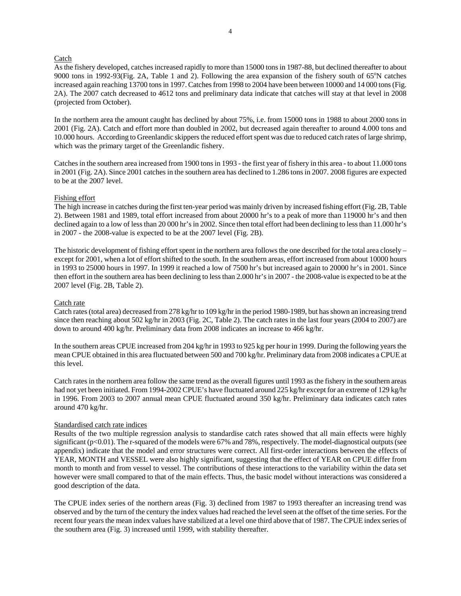### **Catch**

As the fishery developed, catches increased rapidly to more than 15000 tons in 1987-88, but declined thereafter to about 9000 tons in 1992-93(Fig. 2A, Table 1 and 2). Following the area expansion of the fishery south of  $65^{\circ}$ N catches increased again reaching 13700 tons in 1997. Catches from 1998 to 2004 have been between 10000 and 14 000 tons (Fig. 2A). The 2007 catch decreased to 4612 tons and preliminary data indicate that catches will stay at that level in 2008 (projected from October).

In the northern area the amount caught has declined by about 75%, i.e. from 15000 tons in 1988 to about 2000 tons in 2001 (Fig. 2A). Catch and effort more than doubled in 2002, but decreased again thereafter to around 4.000 tons and 10.000 hours. According to Greenlandic skippers the reduced effort spent was due to reduced catch rates of large shrimp, which was the primary target of the Greenlandic fishery.

Catches in the southern area increased from 1900 tons in 1993 - the first year of fishery in this area - to about 11.000 tons in 2001 (Fig. 2A). Since 2001 catches in the southern area has declined to 1.286 tons in 2007. 2008 figures are expected to be at the 2007 level.

#### Fishing effort

The high increase in catches during the first ten-year period was mainly driven by increased fishing effort (Fig. 2B, Table 2). Between 1981 and 1989, total effort increased from about 20000 hr's to a peak of more than 119000 hr's and then declined again to a low of less than 20 000 hr's in 2002. Since then total effort had been declining to less than 11.000 hr's in 2007 - the 2008-value is expected to be at the 2007 level (Fig. 2B).

The historic development of fishing effort spent in the northern area follows the one described for the total area closely – except for 2001, when a lot of effort shifted to the south. In the southern areas, effort increased from about 10000 hours in 1993 to 25000 hours in 1997. In 1999 it reached a low of 7500 hr's but increased again to 20000 hr's in 2001. Since then effort in the southern area has been declining to less than 2.000 hr's in 2007 - the 2008-value is expected to be at the 2007 level (Fig. 2B, Table 2).

#### Catch rate

Catch rates (total area) decreased from 278 kg/hr to 109 kg/hr in the period 1980-1989, but has shown an increasing trend since then reaching about 502 kg/hr in 2003 (Fig. 2C, Table 2). The catch rates in the last four years (2004 to 2007) are down to around 400 kg/hr. Preliminary data from 2008 indicates an increase to 466 kg/hr.

In the southern areas CPUE increased from 204 kg/hr in 1993 to 925 kg per hour in 1999. During the following years the mean CPUE obtained in this area fluctuated between 500 and 700 kg/hr. Preliminary data from 2008 indicates a CPUE at this level.

Catch rates in the northern area follow the same trend as the overall figures until 1993 as the fishery in the southern areas had not yet been initiated. From 1994-2002 CPUE's have fluctuated around 225 kg/hr except for an extreme of 129 kg/hr in 1996. From 2003 to 2007 annual mean CPUE fluctuated around 350 kg/hr. Preliminary data indicates catch rates around 470 kg/hr.

## Standardised catch rate indices

Results of the two multiple regression analysis to standardise catch rates showed that all main effects were highly significant (p<0.01). The r-squared of the models were 67% and 78%, respectively. The model-diagnostical outputs (see appendix) indicate that the model and error structures were correct. All first-order interactions between the effects of YEAR, MONTH and VESSEL were also highly significant, suggesting that the effect of YEAR on CPUE differ from month to month and from vessel to vessel. The contributions of these interactions to the variability within the data set however were small compared to that of the main effects. Thus, the basic model without interactions was considered a good description of the data.

The CPUE index series of the northern areas (Fig. 3) declined from 1987 to 1993 thereafter an increasing trend was observed and by the turn of the century the index values had reached the level seen at the offset of the time series. For the recent four years the mean index values have stabilized at a level one third above that of 1987. The CPUE index series of the southern area (Fig. 3) increased until 1999, with stability thereafter.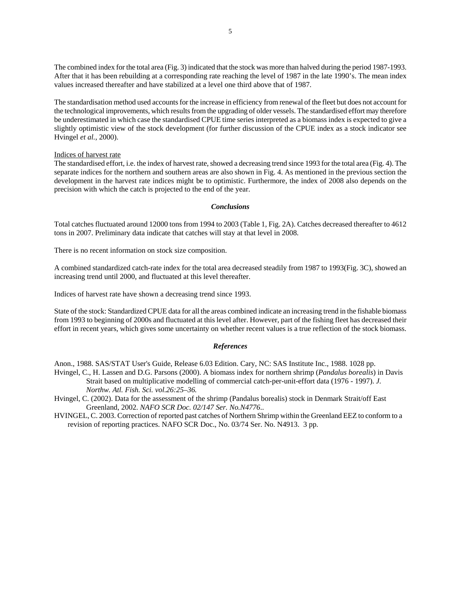The combined index for the total area (Fig. 3) indicated that the stock was more than halved during the period 1987-1993. After that it has been rebuilding at a corresponding rate reaching the level of 1987 in the late 1990's. The mean index values increased thereafter and have stabilized at a level one third above that of 1987.

The standardisation method used accounts for the increase in efficiency from renewal of the fleet but does not account for the technological improvements, which results from the upgrading of older vessels. The standardised effort may therefore be underestimated in which case the standardised CPUE time series interpreted as a biomass index is expected to give a slightly optimistic view of the stock development (for further discussion of the CPUE index as a stock indicator see Hvingel *et al.*, 2000).

## Indices of harvest rate

The standardised effort, i.e. the index of harvest rate, showed a decreasing trend since 1993 for the total area (Fig. 4). The separate indices for the northern and southern areas are also shown in Fig. 4. As mentioned in the previous section the development in the harvest rate indices might be to optimistic. Furthermore, the index of 2008 also depends on the precision with which the catch is projected to the end of the year.

## *Conclusions*

Total catches fluctuated around 12000 tons from 1994 to 2003 (Table 1, Fig. 2A). Catches decreased thereafter to 4612 tons in 2007. Preliminary data indicate that catches will stay at that level in 2008.

There is no recent information on stock size composition.

A combined standardized catch-rate index for the total area decreased steadily from 1987 to 1993(Fig. 3C), showed an increasing trend until 2000, and fluctuated at this level thereafter.

Indices of harvest rate have shown a decreasing trend since 1993.

State of the stock: Standardized CPUE data for all the areas combined indicate an increasing trend in the fishable biomass from 1993 to beginning of 2000s and fluctuated at this level after. However, part of the fishing fleet has decreased their effort in recent years, which gives some uncertainty on whether recent values is a true reflection of the stock biomass.

## *References*

Anon., 1988. SAS/STAT User's Guide, Release 6.03 Edition. Cary, NC: SAS Institute Inc., 1988. 1028 pp. Hvingel, C., H. Lassen and D.G. Parsons (2000). A biomass index for northern shrimp (*Pandalus borealis*) in Davis

Strait based on multiplicative modelling of commercial catch-per-unit-effort data (1976 - 1997). *J. Northw. Atl. Fish. Sci. vol.26:25–36.*

Hvingel, C. (2002). Data for the assessment of the shrimp (Pandalus borealis) stock in Denmark Strait/off East Greenland, 2002. *NAFO SCR Doc. 02/147 Ser. No.N4776*..

HVINGEL, C. 2003. Correction of reported past catches of Northern Shrimp within the Greenland EEZ to conform to a revision of reporting practices. NAFO SCR Doc., No. 03/74 Ser. No. N4913. 3 pp.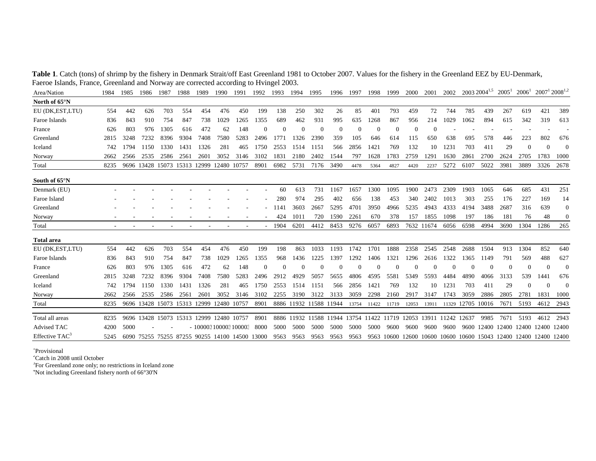| Area/Nation                | 1984 | 1985 | 1986 | 1987             | 1988  | 1989                                           | 1990        | 1991  | 1992         | 1993     | 1994       | 1995                                                 | 1996       | 1997         | 1998     | 1999       | 2000     | 2001       | 2002        |             | $2003\,2004^{1,5}$      | $2005$ <sup>1</sup> | $2006^1$ | $2007^1$ 2008 <sup>1,2</sup> |              |
|----------------------------|------|------|------|------------------|-------|------------------------------------------------|-------------|-------|--------------|----------|------------|------------------------------------------------------|------------|--------------|----------|------------|----------|------------|-------------|-------------|-------------------------|---------------------|----------|------------------------------|--------------|
| North of 65°N              |      |      |      |                  |       |                                                |             |       |              |          |            |                                                      |            |              |          |            |          |            |             |             |                         |                     |          |                              |              |
| EU (DK,EST,LTU)            | 554  | 442  | 626  | 703              | 554   | 454                                            | 476         | 450   | 199          | 138      | 250        | 302                                                  | 26         | 85           | 401      | 793        | 459      | 72         | 744         | 785         | 439                     | 267                 | 619      | 421                          | 389          |
| Faroe Islands              | 836  | 843  | 910  | 754              | 847   | 738                                            | 1029        | 1265  | 1355         | 689      | 462        | 931                                                  | 995        | 635          | 1268     | 867        | 956      | 214        | 1029        | 1062        | 894                     | 615                 | 342      | 319                          | 613          |
| France                     | 626  | 803  | 976  | 1305             | 616   | 472                                            | 62          | 148   | $\mathbf{0}$ | $\Omega$ | $\sqrt{ }$ | $\Omega$                                             | 0          | $\mathbf{0}$ | $\Omega$ | $\theta$   | $\Omega$ |            |             |             |                         |                     |          |                              |              |
| Greenland                  | 2815 | 3248 | 7232 | 8396             | 9304  | 7408                                           | 7580        | 5283  | 2496         | 1771     | 1326       | 2390                                                 | 359        | 105          | 646      | 614        | 115      | 650        | 638         | 695         | 578                     | 446                 | 223      | 802                          | 676          |
| Iceland                    | 742  | 1794 | 1150 | 1330             | 1431  | 1326                                           | 281         | 465   | 1750         | 2553     | 1514       | 1151                                                 | 566        | 2856         | 1421     | 769        | 132      | 10         | 1231        | 703         | 411                     | 29                  | $\theta$ | $\sqrt{ }$                   | $\Omega$     |
| Norway                     | 2662 | 2566 | 2535 | 2586             | 2561  | 2601                                           | 3052        | 3146  | 3102         | 1831     | 2180       | 2402                                                 | 1544       | 797          | 1628     | 1783       | 2759     | 1291       | 1630        | 2861        | 2700                    | 2624                | 2705     | 1783                         | 1000         |
| Total                      | 8235 |      |      | 9696 13428 15073 | 15313 | 12999                                          | 12480       | 10757 | 8901         | 6982     | 5731       | 7176                                                 | 3490       | 4478         | 5364     | 4827       | 4420     | 2237       | 5272        | 6107        | 5022                    | 3981                | 3889     | 3326                         | 2678         |
| South of 65 <sup>o</sup> N |      |      |      |                  |       |                                                |             |       |              |          |            |                                                      |            |              |          |            |          |            |             |             |                         |                     |          |                              |              |
| Denmark (EU)               |      |      |      |                  |       |                                                |             |       |              | 60       | 613        | 731                                                  | 1167       | 1657         | 1300     | 1095       | 1900     | 2473       | 2309        | 1903        | 1065                    | 646                 | 685      | 431                          | 251          |
| Faroe Island               |      |      |      |                  |       |                                                |             |       |              | 280      | 974        | 295                                                  | 402        | 656          | 138      | 453        | 340      | 2402       | 1013        | 303         | 255                     | 176                 | 227      | 169                          | 14           |
| Greenland                  |      |      |      |                  |       |                                                |             |       |              | 1141     | 3603       | 2667                                                 | 5295       | 4701         | 3950     | 4966       | 5235     | 4943       | 4333        | 4194        | 3488                    | 2687                | 316      | 639                          | $\Omega$     |
| Norway                     |      |      |      |                  |       |                                                |             |       |              | 424      | 1011       | 720                                                  | 1590       | 2261         | 670      | 378        | 157      | 1855       | 1098        | 197         | 186                     | 181                 | 76       | 48                           | $\mathbf{0}$ |
| Total                      |      |      |      |                  |       |                                                |             |       |              | 1904     | 6201       | 4412                                                 | 8453       | 9276         | 6057     | 6893       |          | 7632 11674 | 6056        | 6598        | 4994                    | 3690                | 1304     | 1286                         | 265          |
| <b>Total area</b>          |      |      |      |                  |       |                                                |             |       |              |          |            |                                                      |            |              |          |            |          |            |             |             |                         |                     |          |                              |              |
| EU (DK, EST, LTU)          | 554  | 442  | 626  | 703              | 554   | 454                                            | 476         | 450   | 199          | 198      | 863        | 1033                                                 | 1193       | 1742         | 1701     | 1888       | 2358     | 2545       | 2548        | 2688        | 1504                    | 913                 | 1304     | 852                          | 640          |
| Faroe Islands              | 836  | 843  | 910  | 754              | 847   | 738                                            | 1029        | 1265  | 1355         | 968      | 1436       | 1225                                                 | 1397       | 1292         | 1406     | 1321       | 1296     | 2616       | 1322        | 1365        | 1149                    | 791                 | 569      | 488                          | 627          |
| France                     | 626  | 803  | 976  | 1305             | 616   | 472                                            | 62          | 148   | $\mathbf{0}$ | $\Omega$ | $\sqrt{ }$ | $\Omega$                                             | $\sqrt{ }$ | $\mathbf{0}$ | $\Omega$ | $\Omega$   |          | $\Omega$   | $\Omega$    |             |                         | 0                   | $\theta$ | $\bigcap$                    | $\Omega$     |
| Greenland                  | 2815 | 3248 | 7232 | 8396             | 9304  | 7408                                           | 7580        | 5283  | 2496         | 2912     | 4929       | 5057                                                 | 5655       | 4806         | 4595     | 5581       | 5349     | 5593       | 4484        | 4890        | 4066                    | 3133                | 539      | 1441                         | 676          |
| Iceland                    | 742  | 1794 | 1150 | 1330             | 1431  | 1326                                           | 281         | 465   | 1750         | 2553     | 1514       | 1151                                                 | 566        | 2856         | 1421     | 769        | 132      | 10         | 1231        | 703         | 411                     | 29                  | $\Omega$ | $\sqrt{ }$                   | $\Omega$     |
| Norway                     | 2662 | 2566 | 2535 | 2586             | 2561  | 2601                                           | 3052        | 3146  | 3102         | 2255     | 3190       | 3122                                                 | 3133       | 3059         | 2298     | 2160       | 2917     | 3147       | 1743        | 3059        | 2886                    | 2805                | 2781     | 1831                         | 1000         |
| Total                      | 8235 |      |      |                  |       | 9696 13428 15073 15313 12999                   | 12480 10757 |       | 8901         |          |            | 8886 11932 11588 11944                               |            | 13754        | 11422    | 11719      | 12053    | 13911      | 11329       | 12705 10016 |                         | 7671                | 5193     | 4612                         | 2943         |
| Total all areas            | 8235 |      |      |                  |       | 9696 13428 15073 15313 12999 12480 10757       |             |       | 8901         |          |            | 8886 11932 11588 11944 13754 11422 11719 12053 13911 |            |              |          |            |          |            | 11242 12637 |             | 9985                    | 7671                | 5193     | 4612                         | 2943         |
| Advised TAC                | 4200 | 5000 |      |                  |       | $-100003100003100003$                          |             |       | -8000        | 5000     | 5000       | 5000                                                 | 5000       | 5000         | 5000     | 9600       | 9600     | 9600       | 9600        | 9600        | 12400 12400             |                     |          | 12400 12400                  | 12400        |
| Effective $TAC^3$          | 5245 |      |      |                  |       | 6090 75255 75255 87255 90255 14100 14500 13000 |             |       |              | 9563     | 9563       | 9563                                                 | 9563       | 9563         |          | 9563 10600 | 12600    | 10600      |             |             | 10600 10600 15043 12400 |                     |          | 12400 12400                  | 12400        |

**Table 1**. Catch (tons) of shrimp by the fishery in Denmark Strait/off East Greenland 1981 to October 2007. Values for the fishery in the Greenland EEZ by EU-Denmark, Faeroe Islands, France, Greenland and Norway are corrected according to Hvingel 2003.

1Provisional

2Catch in 2008 until October

<sup>3</sup>For Greenland zone only; no restrictions in Iceland zone

4Not including Greenland fishery north of 66°30'N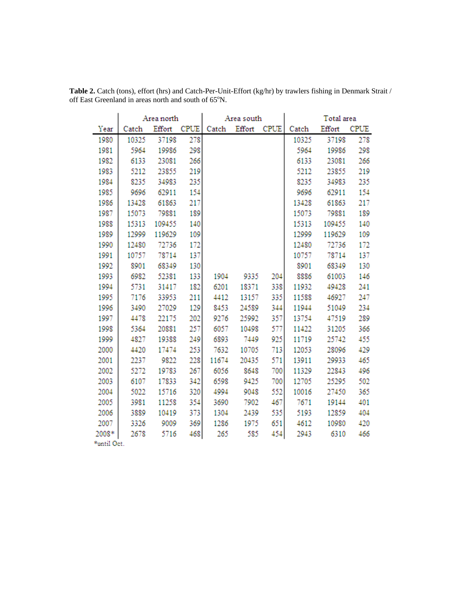|            |       | Area north |             |       | Area south |             | Total area |        |             |  |  |
|------------|-------|------------|-------------|-------|------------|-------------|------------|--------|-------------|--|--|
| Year       | Catch | Effort     | <b>CPUE</b> | Catch | Effort     | <b>CPUE</b> | Catch      | Effort | <b>CPUE</b> |  |  |
| 1980       | 10325 | 37198      | 278         |       |            |             | 10325      | 37198  | 278         |  |  |
| 1981       | 5964  | 19986      | 298         |       |            |             | 5964       | 19986  | 298         |  |  |
| 1982       | 6133  | 23081      | 266         |       |            |             | 6133       | 23081  | 266         |  |  |
| 1983       | 5212  | 23855      | 219         |       |            |             | 5212       | 23855  | 219         |  |  |
| 1984       | 8235  | 34983      | 235         |       |            |             | 8235       | 34983  | 235         |  |  |
| 1985       | 9696  | 62911      | 154         |       |            |             | 9696       | 62911  | 154         |  |  |
| 1986       | 13428 | 61863      | 217         |       |            |             | 13428      | 61863  | 217         |  |  |
| 1987       | 15073 | 79881      | 189         |       |            |             | 15073      | 79881  | 189         |  |  |
| 1988       | 15313 | 109455     | 140         |       |            |             | 15313      | 109455 | 140         |  |  |
| 1989       | 12999 | 119629     | 109         |       |            |             | 12999      | 119629 | 109         |  |  |
| 1990       | 12480 | 72736      | 172         |       |            |             | 12480      | 72736  | 172         |  |  |
| 1991       | 10757 | 78714      | 137         |       |            |             | 10757      | 78714  | 137         |  |  |
| 1992       | 8901  | 68349      | 130         |       |            |             | 8901       | 68349  | 130         |  |  |
| 1993       | 6982  | 52381      | 133         | 1904  | 9335       | 204         | 8886       | 61003  | 146         |  |  |
| 1994       | 5731  | 31417      | 182         | 6201  | 18371      | 338         | 11932      | 49428  | 241         |  |  |
| 1995       | 7176  | 33953      | 211         | 4412  | 13157      | 335         | 11588      | 46927  | 247         |  |  |
| 1996       | 3490  | 27029      | 129         | 8453  | 24589      | 344         | 11944      | 51049  | 234         |  |  |
| 1997       | 4478  | 22175      | 202         | 9276  | 25992      | 357         | 13754      | 47519  | 289         |  |  |
| 1998       | 5364  | 20881      | 257         | 6057  | 10498      | 577         | 11422      | 31205  | 366         |  |  |
| 1999       | 4827  | 19388      | 249         | 6893  | 7449       | 925         | 11719      | 25742  | 455         |  |  |
| 2000       | 4420  | 17474      | 253         | 7632  | 10705      | 713         | 12053      | 28096  | 429         |  |  |
| 2001       | 2237  | 9822       | 228         | 11674 | 20435      | 571         | 13911      | 29933  | 465         |  |  |
| 2002       | 5272  | 19783      | 267         | 6056  | 8648       | 700         | 11329      | 22843  | 496         |  |  |
| 2003       | 6107  | 17833      | 342         | 6598  | 9425       | 700         | 12705      | 25295  | 502         |  |  |
| 2004       | 5022  | 15716      | 320         | 4994  | 9048       | 552         | 10016      | 27450  | 365         |  |  |
| 2005       | 3981  | 11258      | 354         | 3690  | 7902       | 467         | 7671       | 19144  | 401         |  |  |
| 2006       | 3889  | 10419      | 373         | 1304  | 2439       | 535         | 5193       | 12859  | 404         |  |  |
| 2007       | 3326  | 9009       | 369         | 1286  | 1975       | 651         | 4612       | 10980  | 420         |  |  |
| 2008*      | 2678  | 5716       | 468         | 265   | 585        | 454         | 2943       | 6310   | 466         |  |  |
| *matil Oot |       |            |             |       |            |             |            |        |             |  |  |

**Table 2.** Catch (tons), effort (hrs) and Catch-Per-Unit-Effort (kg/hr) by trawlers fishing in Denmark Strait / off East Greenland in areas north and south of 65°N.

'until Oct.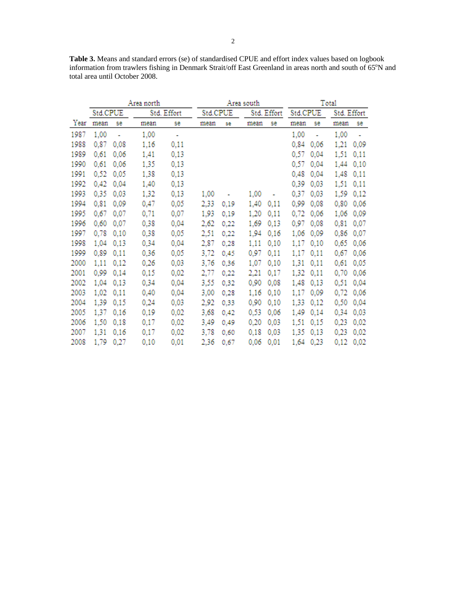**Table 3.** Means and standard errors (se) of standardised CPUE and effort index values based on logbook information from trawlers fishing in Denmark Strait/off East Greenland in areas north and south of 65°N and total area until October 2008.

|      |          |      | Area north  |      |          | Area south | Total |             |          |      |             |      |
|------|----------|------|-------------|------|----------|------------|-------|-------------|----------|------|-------------|------|
|      | Std.CPUE |      | Std. Effort |      | Std.CPUE |            |       | Std. Effort | Std.CPUE |      | Std. Effort |      |
| Year | mean     | se   | mean        | se   | mean     | se         | mean  | se          | mean     | se   | mean        | se   |
| 1987 | 1,00     | ٠    | 1,00        | ÷    |          |            |       |             | 1,00     | ٠    | 1,00        |      |
| 1988 | 0.87     | 0.08 | 1,16        | 0,11 |          |            |       |             | 0.84     | 0.06 | 1.21        | 0,09 |
| 1989 | 0.61     | 0.06 | 1,41        | 0,13 |          |            |       |             | 0.57     | 0,04 | 1,51        | 0,11 |
| 1990 | 0.61     | 0.06 | 1,35        | 0,13 |          |            |       |             | 0.57     | 0.04 | 1.44        | 0.10 |
| 1991 | 0.52     | 0,05 | 1,38        | 0,13 |          |            |       |             | 0.48     | 0,04 | 1.48        | 0,11 |
| 1992 | 0.42     | 0.04 | 1,40        | 0,13 |          |            |       |             | 0,39     | 0,03 | 1,51        | 0,11 |
| 1993 | 0.35     | 0.03 | 1,32        | 0,13 | 1,00     |            | 1,00  |             | 0,37     | 0,03 | 1,59        | 0,12 |
| 1994 | 0.81     | 0,09 | 0,47        | 0,05 | 2,33     | 0,19       | 1,40  | 0,11        | 0,99     | 0,08 | 0.80        | 0,06 |
| 1995 | 0,67     | 0.07 | 0,71        | 0,07 | 1.93     | 0.19       | 1.20  | 0,11        | 0.72     | 0,06 | 1,06        | 0,09 |
| 1996 | 0.60     | 0.07 | 0,38        | 0,04 | 2,62     | 0.22       | 1,69  | 0,13        | 0.97     | 0,08 | 0.81        | 0,07 |
| 1997 | 0.78     | 0.10 | 0,38        | 0,05 | 2,51     | 0,22       | 1.94  | 0,16        | 1,06     | 0.09 | 0.86        | 0,07 |
| 1998 | 1,04     | 0.13 | 0,34        | 0,04 | 2,87     | 0,28       | 1,11  | 0,10        | 1,17     | 0,10 | 0,65        | 0,06 |
| 1999 | 0,89     | 0,11 | 0,36        | 0,05 | 3,72     | 0,45       | 0,97  | 0,11        | 1,17     | 0,11 | 0,67        | 0,06 |
| 2000 | 1,11     | 0.12 | 0,26        | 0,03 | 3,76     | 0,36       | 1,07  | 0,10        | 1,31     | 0,11 | 0,61        | 0,05 |
| 2001 | 0.99     | 0,14 | 0,15        | 0,02 | 2,77     | 0,22       | 2,21  | 0,17        | 1.32     | 0,11 | 0,70        | 0,06 |
| 2002 | 1,04     | 0.13 | 0,34        | 0,04 | 3,55     | 0,32       | 0.90  | 0,08        | 1,48     | 0,13 | 0,51        | 0,04 |
| 2003 | 1,02     | 0,11 | 0,40        | 0,04 | 3,00     | 0,28       | 1,16  | 0,10        | 1,17     | 0,09 | 0,72        | 0,06 |
| 2004 | 1,39     | 0,15 | 0,24        | 0,03 | 2,92     | 0,33       | 0,90  | 0,10        | 1,33     | 0,12 | 0,50        | 0,04 |
| 2005 | 1.37     | 0.16 | 0,19        | 0,02 | 3,68     | 0.42       | 0,53  | 0,06        | 1,49     | 0,14 | 0.34        | 0,03 |
| 2006 | 1,50     | 0,18 | 0,17        | 0,02 | 3,49     | 0,49       | 0,20  | 0,03        | 1,51     | 0,15 | 0,23        | 0,02 |
| 2007 | 1.31     | 0.16 | 0,17        | 0,02 | 3,78     | 0.60       | 0.18  | 0,03        | 1.35     | 0.13 | 0.23        | 0,02 |
| 2008 | 1,79     | 0,27 | 0,10        | 0,01 | 2,36     | 0,67       | 0,06  | 0,01        | 1,64     | 0,23 | 0,12        | 0,02 |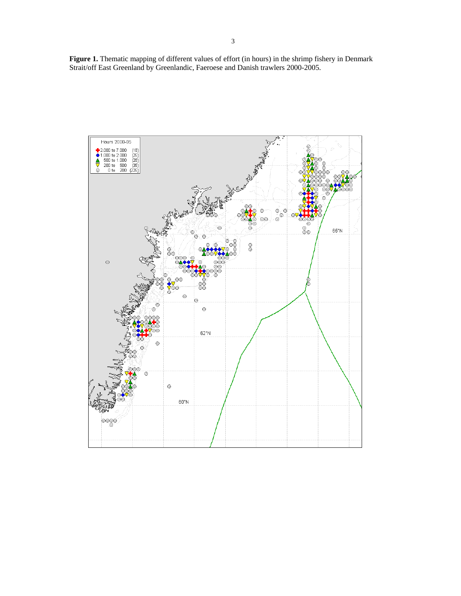**Figure 1.** Thematic mapping of different values of effort (in hours) in the shrimp fishery in Denmark Strait/off East Greenland by Greenlandic, Faeroese and Danish trawlers 2000-2005.

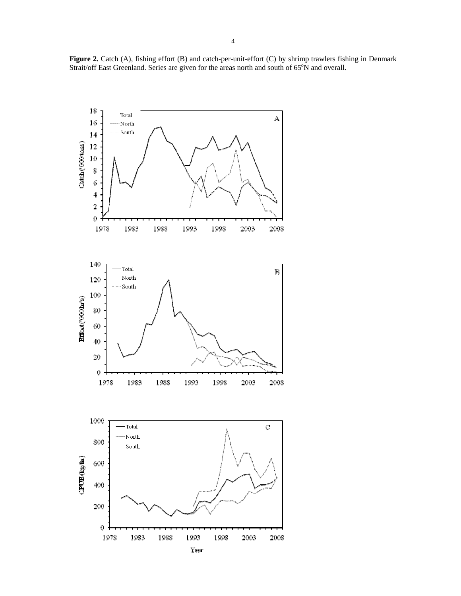

**Figure 2.** Catch (A), fishing effort (B) and catch-per-unit-effort (C) by shrimp trawlers fishing in Denmark Strait/off East Greenland. Series are given for the areas north and south of  $65^{\circ}$ N and overall.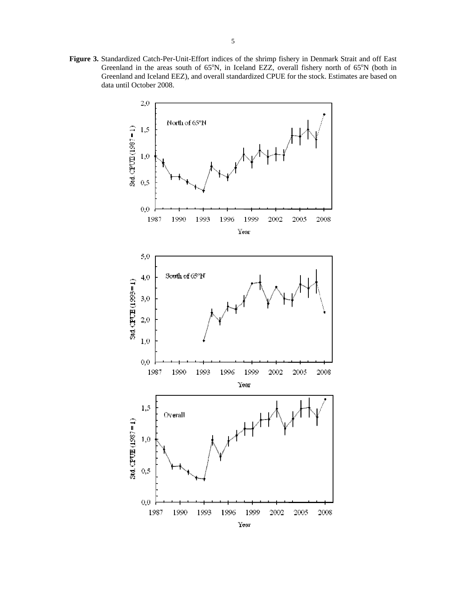**Figure 3.** Standardized Catch-Per-Unit-Effort indices of the shrimp fishery in Denmark Strait and off East Greenland in the areas south of  $65^{\circ}N$ , in Iceland EZZ, overall fishery north of  $65^{\circ}N$  (both in Greenland and Iceland EEZ), and overall standardized CPUE for the stock. Estimates are based on data until October 2008.

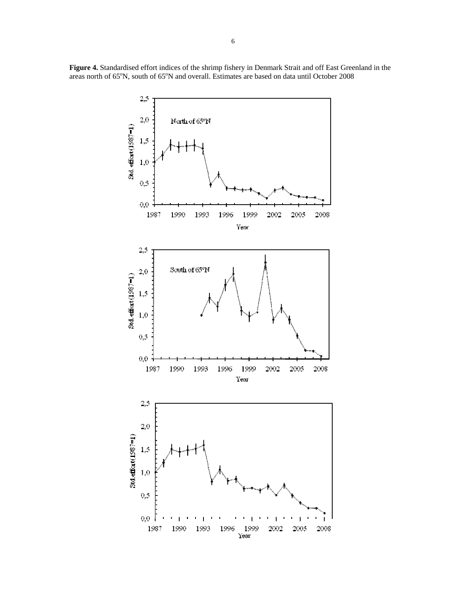**Figure 4.** Standardised effort indices of the shrimp fishery in Denmark Strait and off East Greenland in the areas north of 65°N, south of 65°N and overall. Estimates are based on data until October 2008

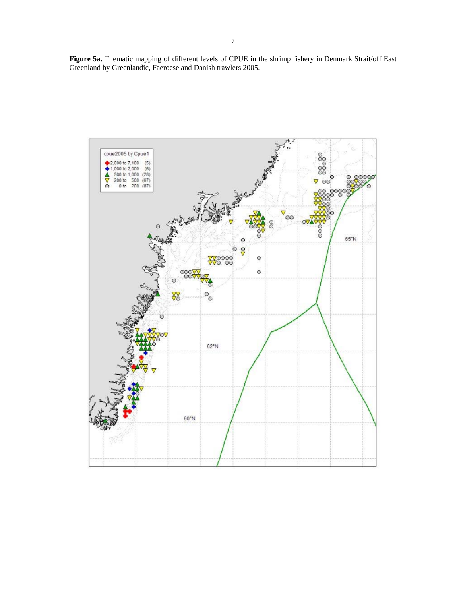**Figure 5a.** Thematic mapping of different levels of CPUE in the shrimp fishery in Denmark Strait/off East Greenland by Greenlandic, Faeroese and Danish trawlers 2005.

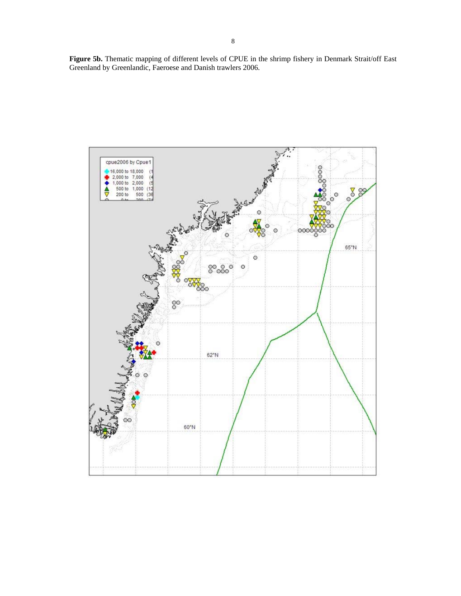**Figure 5b.** Thematic mapping of different levels of CPUE in the shrimp fishery in Denmark Strait/off East Greenland by Greenlandic, Faeroese and Danish trawlers 2006.

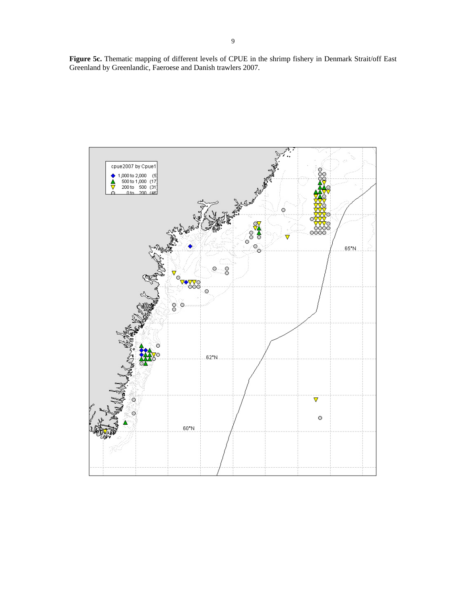**Figure 5c.** Thematic mapping of different levels of CPUE in the shrimp fishery in Denmark Strait/off East Greenland by Greenlandic, Faeroese and Danish trawlers 2007.

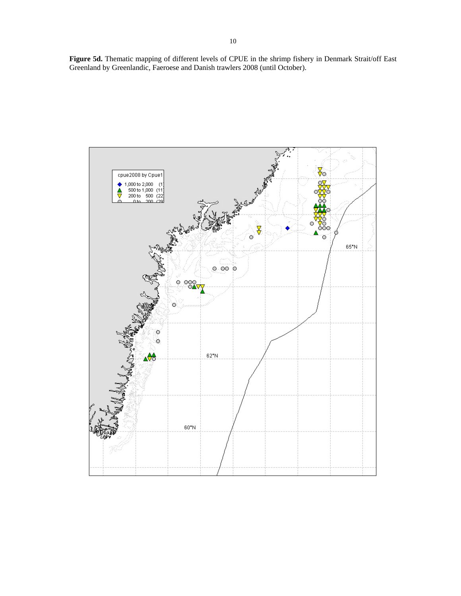**Figure 5d.** Thematic mapping of different levels of CPUE in the shrimp fishery in Denmark Strait/off East Greenland by Greenlandic, Faeroese and Danish trawlers 2008 (until October).

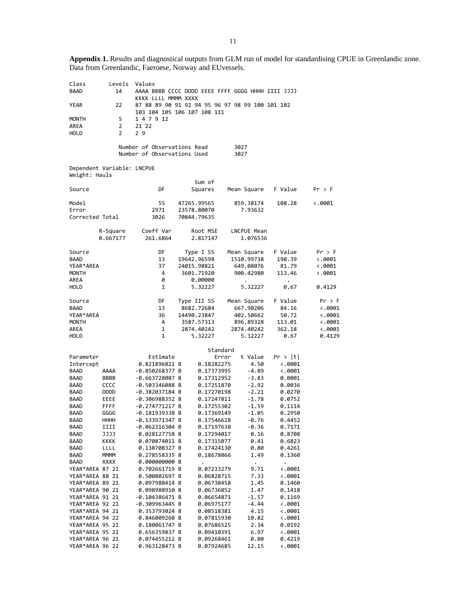**Appendix 1.** Results and diagnostical outputs from GLM run of model for standardising CPUE in Greenlandic zone. Data from Greenlandic, Faeroese, Norway and EUvessels.

| Class           | Levels                     | Values                      |                    |                                                   |                 |                |
|-----------------|----------------------------|-----------------------------|--------------------|---------------------------------------------------|-----------------|----------------|
| <b>BAAD</b>     | 14                         |                             |                    | AAAA BBBB CCCC DDDD EEEE FFFF GGGG HHHH IIII JJJJ |                 |                |
|                 |                            | KKKK LLLL MMMM XXXX         |                    |                                                   |                 |                |
| YEAR            | 22                         |                             |                    | 87 88 89 90 91 92 94 95 96 97 98 99 100 101 102   |                 |                |
|                 |                            | 103 104 105 106 107 108 111 |                    |                                                   |                 |                |
| <b>MONTH</b>    | 5                          | 1 4 7 9 12                  |                    |                                                   |                 |                |
| AREA            | 2                          | 21 22                       |                    |                                                   |                 |                |
| HOLD            | 2                          | 29                          |                    |                                                   |                 |                |
|                 |                            |                             |                    |                                                   |                 |                |
|                 |                            | Number of Observations Read |                    | 3027                                              |                 |                |
|                 |                            | Number of Observations Used |                    | 3027                                              |                 |                |
|                 |                            |                             |                    |                                                   |                 |                |
|                 | Dependent Variable: LNCPUE |                             |                    |                                                   |                 |                |
| Weight: Hauls   |                            |                             |                    |                                                   |                 |                |
|                 |                            |                             | Sum of             |                                                   |                 |                |
| Source          |                            | DF                          | Squares            | Mean Square                                       | F Value         | Pr > F         |
|                 |                            |                             |                    |                                                   |                 |                |
| Model           |                            | 55                          | 47265.99565        | 859.38174                                         | 108.28          | ←.0001         |
| Error           |                            | 2971                        | 23578.80070        | 7.93632                                           |                 |                |
| Corrected Total |                            | 3026                        | 70844.79635        |                                                   |                 |                |
|                 |                            |                             |                    |                                                   |                 |                |
|                 | R-Square                   | Coeff Var                   | Root MSE           | LNCPUE Mean                                       |                 |                |
|                 | 0.667177                   | 261.6864                    | 2.817147           | 1.076536                                          |                 |                |
|                 |                            |                             |                    |                                                   |                 |                |
| Source          |                            | DF                          | Type I SS          | Mean Square                                       | F Value         | $Pr$ > F       |
| <b>BAAD</b>     |                            | 13                          | 19642.96598        | 1510.99738                                        | 190.39          | $\ddotsc 0001$ |
| YEAR*AREA       |                            | 37                          | 24015.98821        | 649.08076                                         | 81.79           | 4.0001         |
| MONTH           |                            | 4                           | 3601.71920         | 900.42980                                         | 113.46          | $\ddotsc 0001$ |
| AREA            |                            | 0                           |                    |                                                   |                 |                |
| HOLD            |                            | 1                           | 0.00000<br>5.32227 | 5.32227                                           |                 | 0.4129         |
|                 |                            |                             |                    |                                                   | 0.67            |                |
| Source          |                            | DF                          |                    |                                                   | F Value         | Pr > F         |
| BAAD            |                            | 13                          | Type III SS        | Mean Square                                       |                 |                |
|                 |                            |                             | 8682.72684         | 667.90206                                         | 84.16           | $\ddotsc 0001$ |
| YEAR*AREA       |                            | 36                          | 14490.23847        | 402.50662                                         | 50.72           | $\ddotsc 0001$ |
| <b>MONTH</b>    |                            | 4                           | 3587.57313         | 896.89328                                         | 113.01          | $\ddotsc 0001$ |
| AREA            |                            | 1                           | 2874.40242         | 2874.40242                                        | 362.18          | $\ddotsc 0001$ |
| HOLD            |                            | 1                           | 5.32227            | 5.32227                                           | 0.67            | 0.4129         |
|                 |                            |                             |                    |                                                   |                 |                |
|                 |                            |                             |                    | Standard                                          |                 |                |
| Parameter       |                            | Estimate                    |                    | t Value<br>Error                                  | Pr >  t         |                |
| Intercept       |                            | 0.821896822 B               | 0.18282275         | 4.50                                              | $\ddotsc$ .0001 |                |
| BAAD            | AAAA                       | -0.850268377 B              | 0.17373995         | -4.89                                             | $\ddotsc$ .0001 |                |
| BAAD            | BBBB                       | $-0.663728087 B$            | 0.17312952         | $-3.83$                                           | 0.0001          |                |
| BAAD            | CCCC                       | -0.503346088 B              | 0.17251870         | $-2.92$                                           | 0.0036          |                |
| BAAD            | <b>DDDD</b>                | -0.382037184 B              | 0.17270198         | $-2.21$                                           | 0.0270          |                |
| BAAD            | EEEE                       | -0.306988352 B              | 0.17247811         | $-1.78$                                           | 0.0752          |                |
| BAAD            | FFFF                       | -0.274771217 B              | 0.17255302         | $-1.59$                                           | 0.1114          |                |
| <b>BAAD</b>     | GGGG                       | -0.181939338 B              | 0.17369149         | $-1.05$                                           | 0.2950          |                |
| BAAD            | HHHH                       | -0.133971347 B              | 0.17546628         | $-0.76$                                           | 0.4452          |                |
| BAAD            | IIII                       | -0.062316304 B              | 0.17197638         | $-0.36$                                           | 0.7171          |                |
| BAAD            | JJJJ                       | 0.028127758 B               | 0.17294017         | 0.16                                              | 0.8708          |                |
| BAAD            | KKKK                       | 0.070874011 B               | 0.17315077         | 0.41                                              | 0.6823          |                |
| BAAD            | LLLL                       | 0.138708327 B               | 0.17424130         | 0.80                                              | 0.4261          |                |
| BAAD            | <b>MMMM</b>                | 0.278558335 B               | 0.18678066         | 1.49                                              | 0.1360          |                |
| BAAD            | <b>XXXX</b>                | 0.000000000 B               | $\bullet$          | $\bullet$                                         | $\bullet$       |                |
| YEAR*AREA 87 21 |                            | 0.702661719 B               | 0.07233279         | 9.71                                              | $\ddotsc$ .0001 |                |
| YEAR*AREA 88 21 |                            | 0.500802697 B               | 0.06828715         | 7.33                                              | $\ddotsc 0001$  |                |
| YEAR*AREA 89 21 |                            | 0.097988414 B               | 0.06738458         | 1.45                                              | 0.1460          |                |
| YEAR*AREA 90 21 |                            | 0.098988910 B               | 0.06736852         | 1.47                                              | 0.1418          |                |
| YEAR*AREA 91 21 |                            | -0.104386471 B              | 0.06654871         | $-1.57$                                           | 0.1169          |                |
| YEAR*AREA 92 21 |                            | -0.309963445 B              | 0.06975177         | $-4.44$                                           | $\ddotsc 0001$  |                |
| YEAR*AREA 94 21 |                            | 0.353793024 B               | 0.08518381         | 4.15                                              | $\ddotsc 0001$  |                |
| YEAR*AREA 94 22 |                            | 0.846009260 B               | 0.07815930         | 10.82                                             | $\ddotsc 0001$  |                |
| YEAR*AREA 95 21 |                            | 0.180061747 B               | 0.07686525         | 2.34                                              | 0.0192          |                |
| YEAR*AREA 95 22 |                            | 0.656359837 B               | 0.09410391         | 6.97                                              | $\ddotsc 0001$  |                |
| YEAR*AREA 96 21 |                            | 0.074455212 B               | 0.09268461         | 0.80                                              | 0.4219          |                |
| YEAR*AREA 96 22 |                            | 0.963128473 B               | 0.07924685         | 12.15                                             | $\ddotsc 0001$  |                |
|                 |                            |                             |                    |                                                   |                 |                |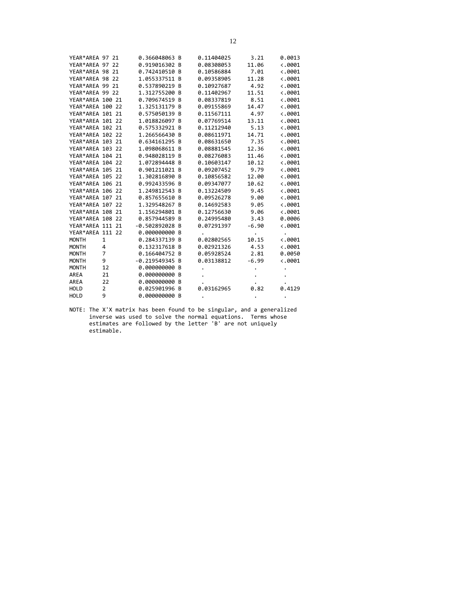| YEAR*AREA 97 21  |    | 0.366048063 B  |                | 0.11404025 | 3.21    | 0.0013          |
|------------------|----|----------------|----------------|------------|---------|-----------------|
| YEAR*AREA 97     | 22 | 0.919016302 B  |                | 0.08308053 | 11.06   | 0.0001          |
| YEAR*AREA 98 21  |    | 0.742410510    | B              | 0.10586884 | 7.01    | $\langle .0001$ |
| YEAR*AREA 98 22  |    | 1.055337511 B  |                | 0.09358905 | 11.28   | $\langle .0001$ |
| YEAR*AREA 99 21  |    | 0.537890219 B  |                | 0.10927687 | 4.92    | $\ddotsc 0001$  |
| YEAR*AREA 99 22  |    | 1.312755200 B  |                | 0.11402967 | 11.51   | $\langle .0001$ |
| YEAR*AREA 100 21 |    | 0.709674519    | B              | 0.08337819 | 8.51    | 0.0001          |
| YEAR*AREA 100 22 |    | 1.325131179    | B              | 0.09155869 | 14.47   | 0.0001          |
| YEAR*AREA 101 21 |    | 0.575050139    | B              | 0.11567111 | 4.97    | $\ddotsc$ .0001 |
| YEAR*AREA 101 22 |    | 1.018826097    | <b>B</b>       | 0.07769514 | 13.11   | $\ddotsc$ .0001 |
| YEAR*AREA 102 21 |    | 0.575332921    | B              | 0.11212940 | 5.13    | $\ddotsc 0001$  |
| YEAR*AREA 102 22 |    | 1.266566430    | B              | 0.08611971 | 14.71   | 0.0001          |
| YEAR*AREA 103 21 |    | 0.634161295    | B              | 0.08631650 | 7.35    | 0.0001          |
| YEAR*AREA 103 22 |    | 1.098068611 B  |                | 0.08881545 | 12.36   | $\langle .0001$ |
| YEAR*AREA 104 21 |    | 0.948028119    | B              | 0.08276083 | 11.46   | $\ddotsc 0001$  |
| YEAR*AREA 104 22 |    | 1.072894448    | B.             | 0.10603147 | 10.12   | $\ddotsc 0001$  |
| YEAR*AREA 105 21 |    | 0.901211021 B  |                | 0.09207452 | 9.79    | 0.0001          |
| YEAR*AREA 105 22 |    | 1.302816890 B  |                | 0.10856582 | 12.00   | 0.0001          |
| YEAR*AREA 106 21 |    | 0.992433596    | B              | 0.09347077 | 10.62   | 0.0001          |
| YEAR*AREA 106 22 |    | 1.249812543 B  |                | 0.13224509 | 9.45    | $\langle .0001$ |
| YEAR*AREA 107 21 |    | 0.857655610 B  |                | 0.09526278 | 9.00    | $\ddotsc$ .0001 |
| YEAR*AREA 107 22 |    | 1.329548267    | $\overline{B}$ | 0.14692583 | 9.05    | $\ddotsc 0001$  |
| YEAR*AREA 108 21 |    | 1.156294801    | <b>B</b>       | 0.12756630 | 9.06    | 0.0001          |
| YEAR*AREA 108 22 |    | 0.857944589    | B              | 0.24995480 | 3.43    | 0.0006          |
| YEAR*AREA 111 21 |    | $-0.502892028$ | B              | 0.07291397 | $-6.90$ | 0.0001          |
| YEAR*AREA 111 22 |    | 0.000000000    | B              |            |         |                 |
| <b>MONTH</b>     | 1  | 0.284337139    | B              | 0.02802565 | 10.15   | $\ddotsc 0001$  |
| <b>MONTH</b>     | 4  | 0.132317618 B  |                | 0.02921326 | 4.53    | $\langle .0001$ |
| <b>MONTH</b>     | 7  | 0.166404752 B  |                | 0.05928524 | 2.81    | 0.0050          |
| <b>MONTH</b>     | 9  | $-0.219549345$ | B              | 0.03138812 | $-6.99$ | 0.0001          |
| <b>MONTH</b>     | 12 | 0.000000000    | B              |            |         |                 |
| AREA             | 21 | 0.000000000    | B              |            |         |                 |
| AREA             | 22 | 0.000000000 B  |                |            |         |                 |
| <b>HOLD</b>      | 2  | 0.025901996    | B              | 0.03162965 | 0.82    | 0.4129          |
| <b>HOLD</b>      | 9  | 0.000000000 B  |                |            |         | $\bullet$       |

NOTE: The X'X matrix has been found to be singular, and a generalized inverse was used to solve the normal equations. Terms whose estimates are followed by the letter 'B' are not uniquely estimable.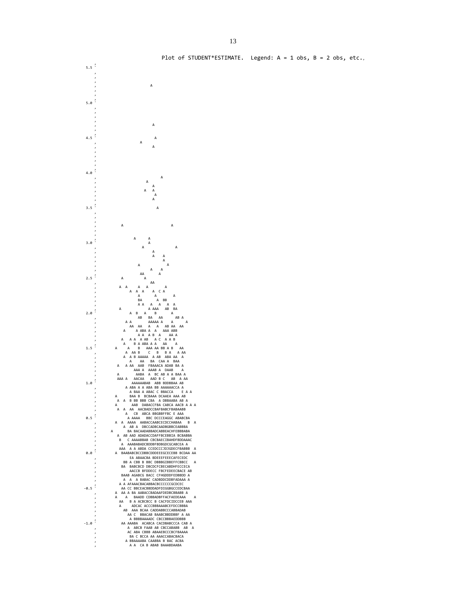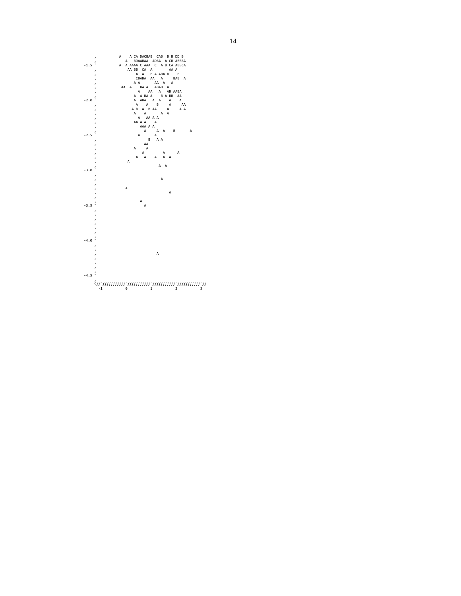

14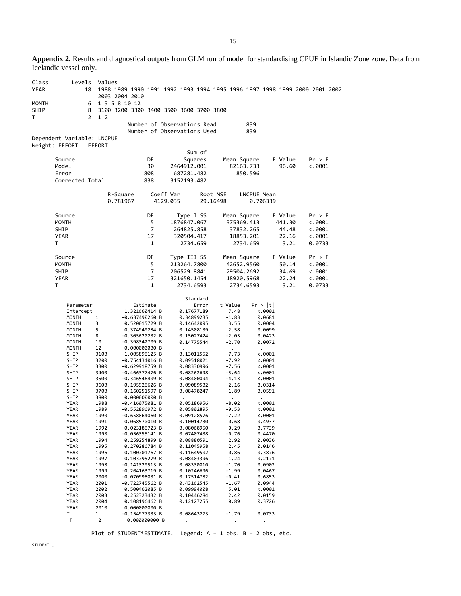**Appendix 2.** Results and diagnostical outputs from GLM run of model for standardising CPUE in Islandic Zone zone. Data from Icelandic vessel only.

| Class<br><b>YEAR</b> | Levels<br>18                                 | Values            | 2003 2004 2010                                           |                |                                                            |                          |                                 |                                  |         | 1988 1989 1990 1991 1992 1993 1994 1995 1996 1997 1998 1999 2000 2001 2002 |
|----------------------|----------------------------------------------|-------------------|----------------------------------------------------------|----------------|------------------------------------------------------------|--------------------------|---------------------------------|----------------------------------|---------|----------------------------------------------------------------------------|
| MONTH<br>SHIP        | 6<br>8                                       |                   | 1 3 5 8 10 12<br>3100 3200 3300 3400 3500 3600 3700 3800 |                |                                                            |                          |                                 |                                  |         |                                                                            |
| T                    | $\overline{2}$                               | 1 <sub>2</sub>    |                                                          |                |                                                            |                          |                                 |                                  |         |                                                                            |
|                      |                                              |                   |                                                          |                | Number of Observations Read<br>Number of Observations Used |                          |                                 | 839<br>839                       |         |                                                                            |
|                      | Dependent Variable: LNCPUE<br>Weight: EFFORT | EFFORT            |                                                          |                |                                                            |                          |                                 |                                  |         |                                                                            |
|                      |                                              |                   |                                                          |                |                                                            | Sum of                   |                                 |                                  |         |                                                                            |
|                      | Source                                       |                   |                                                          | DF             |                                                            | Squares                  |                                 | Mean Square                      | F Value | Pr > F                                                                     |
|                      | Model                                        |                   |                                                          | 30             | 2464912.001                                                |                          |                                 | 82163.733                        | 96.60   | $\ddotsc 0001$                                                             |
|                      | Error<br>Corrected Total                     |                   |                                                          | 808<br>838     | 687281.482<br>3152193.482                                  |                          |                                 | 850.596                          |         |                                                                            |
|                      |                                              |                   |                                                          |                |                                                            |                          |                                 |                                  |         |                                                                            |
|                      |                                              |                   | R-Square<br>0.781967                                     |                | Coeff Var<br>4129.035                                      |                          | Root MSE<br>29.16498            | LNCPUE Mean<br>0.706339          |         |                                                                            |
|                      | Source                                       |                   |                                                          | DF             |                                                            |                          |                                 |                                  | F Value |                                                                            |
|                      | <b>MONTH</b>                                 |                   |                                                          | 5              | Type I SS<br>1876847.067                                   |                          |                                 | Mean Square<br>375369.413        | 441.30  | Pr > F<br>$\ddotsc 0001$                                                   |
|                      | SHIP                                         |                   |                                                          | $\overline{7}$ | 264825.858                                                 |                          |                                 | 37832.265                        | 44.48   | $\ddotsc$ .0001                                                            |
|                      | YEAR                                         |                   |                                                          | 17             | 320504.417                                                 |                          |                                 | 18853.201                        | 22.16   | $\ddotsc 0001$                                                             |
|                      | т                                            |                   |                                                          | 1              |                                                            | 2734.659                 |                                 | 2734.659                         | 3.21    | 0.0733                                                                     |
|                      | Source                                       |                   |                                                          | DF             | Type III SS                                                |                          |                                 | Mean Square                      | F Value | $Pr$ > F                                                                   |
|                      | <b>MONTH</b>                                 |                   |                                                          | 5              | 213264.7800                                                |                          |                                 | 42652.9560                       | 50.14   | $\ddotsc 0001$                                                             |
|                      | SHIP                                         |                   |                                                          | $\overline{7}$ | 206529.8841                                                |                          |                                 | 29504.2692                       | 34.69   | 4.0001                                                                     |
|                      | YEAR                                         |                   |                                                          | 17             | 321650.1454                                                |                          |                                 | 18920.5968                       | 22.24   | $\ddotsc 0001$                                                             |
|                      | Τ                                            |                   |                                                          | $\mathbf{1}$   | 2734.6593                                                  |                          |                                 | 2734.6593                        | 3.21    | 0.0733                                                                     |
|                      |                                              |                   |                                                          |                |                                                            | Standard                 |                                 |                                  |         |                                                                            |
|                      | Parameter                                    |                   |                                                          | Estimate       |                                                            | Error                    | t Value                         | Pr >  t                          |         |                                                                            |
|                      | Intercept                                    |                   | 1.321660414 B                                            |                |                                                            | 0.17677189               | 7.48                            | $\ddot{\sim}$ .0001              |         |                                                                            |
|                      | MONTH<br>MONTH                               | $\mathbf{1}$<br>3 | $-0.637490260 B$<br>0.520015729 B                        |                |                                                            | 0.34899235<br>0.14642095 | $-1.83$<br>3.55                 | 0.0681<br>0.0004                 |         |                                                                            |
|                      | MONTH                                        | 5                 | 0.374949284 B                                            |                |                                                            | 0.14508139               | 2.58                            | 0.0099                           |         |                                                                            |
|                      | MONTH                                        | 8                 | -0.305620232 B                                           |                |                                                            | 0.15027424               | $-2.03$                         | 0.0423                           |         |                                                                            |
|                      | MONTH<br>MONTH                               | 10<br>12          | -0.398342709 B<br>0.000000000 B                          |                |                                                            | 0.14775544               | $-2.70$                         | 0.0072                           |         |                                                                            |
|                      | SHIP                                         | 3100              | -1.005896125 B                                           |                |                                                            | 0.13011552               | $\ddot{\phantom{0}}$<br>$-7.73$ | $\bullet$<br>$\ddotsc 0001$      |         |                                                                            |
|                      | SHIP                                         | 3200              | -0.754134016 B                                           |                |                                                            | 0.09518021               | -7.92                           | $\ddotsc 0001$                   |         |                                                                            |
|                      | SHIP                                         | 3300              | $-0.629918759 B$                                         |                |                                                            | 0.08330996               | $-7.56$                         | $\ddotsc 0001$                   |         |                                                                            |
|                      | SHIP<br>SHIP                                 | 3400<br>3500      | $-0.466377476 B$<br>-0.346546409 B                       |                |                                                            | 0.08262698<br>0.08400094 | $-5.64$<br>-4.13                | $\ddotsc 0001$<br>$\ddotsc 0001$ |         |                                                                            |
|                      | SHIP                                         | 3600              | $-0.195926626 B$                                         |                |                                                            | 0.09089502               | $-2.16$                         | 0.0314                           |         |                                                                            |
|                      | SHIP                                         | 3700              | $-0.160251597 B$                                         |                |                                                            | 0.08478247               | $-1.89$                         | 0.0591                           |         |                                                                            |
|                      | SHIP<br>YEAR                                 | 3800<br>1988      | 0.000000000 B<br>$-0.416075081$ B                        |                | $\bullet$                                                  | 0.05186956               | $\ddot{\phantom{0}}$<br>$-8.02$ | $\bullet$<br>$\ddotsc 0001$      |         |                                                                            |
|                      | YEAR                                         | 1989              | $-0.552896972 B$                                         |                |                                                            | 0.05802895               | $-9.53$                         | $\ddotsc 0001$                   |         |                                                                            |
|                      | YEAR                                         | 1990              | -0.658864060 B                                           |                |                                                            | 0.09128576               | $-7.22$                         | $\ddotsc 0001$                   |         |                                                                            |
|                      | YEAR<br>YEAR                                 | 1991<br>1992      | 0.068570010 B<br>0.023186723 B                           |                |                                                            | 0.10014730<br>0.08068950 | 0.68<br>0.29                    | 0.4937<br>0.7739                 |         |                                                                            |
|                      | YEAR                                         | 1993              | $-0.056355141 B$                                         |                |                                                            | 0.07407438               | $-0.76$                         | 0.4470                           |         |                                                                            |
|                      | YEAR                                         | 1994              | 0.259254899 B                                            |                |                                                            | 0.08880591               | 2.92                            | 0.0036                           |         |                                                                            |
|                      | YEAR                                         | 1995              | 0.270286784 B                                            |                |                                                            | 0.11045958               | 2.45                            | 0.0146                           |         |                                                                            |
|                      | YEAR<br>YEAR                                 | 1996<br>1997      | 0.100701767 B<br>0.103795279 B                           |                |                                                            | 0.11649502<br>0.08403396 | 0.86<br>1.24                    | 0.3876<br>0.2171                 |         |                                                                            |
|                      | YEAR                                         | 1998              | -0.141329513 B                                           |                |                                                            | 0.08330010               | $-1.70$                         | 0.0902                           |         |                                                                            |
|                      | YEAR                                         | 1999              | $-0.204163719$ B                                         |                |                                                            | 0.10246696               | $-1.99$                         | 0.0467                           |         |                                                                            |
|                      | YEAR<br>YEAR                                 | 2000<br>2001      | $-0.070998031$ B<br>-0.722745562 B                       |                |                                                            | 0.17514782<br>0.43162545 | $-0.41$<br>$-1.67$              | 0.6853<br>0.0944                 |         |                                                                            |
|                      | YEAR                                         | 2002              | 0.500462085 B                                            |                |                                                            | 0.09994008               | 5.01                            | $\ddotsc 0001$                   |         |                                                                            |
|                      | YEAR                                         | 2003              | 0.252323432 B                                            |                |                                                            | 0.10446284               | 2.42                            | 0.0159                           |         |                                                                            |
|                      | YEAR                                         | 2004              | 0.108196462 B                                            |                |                                                            | 0.12127255               | 0.89                            | 0.3726                           |         |                                                                            |
|                      | YEAR<br>т                                    | 2010<br>1         | 0.000000000 B<br>-0.154977333 B                          |                |                                                            | 0.08643273               | $-1.79$                         | 0.0733                           |         |                                                                            |
|                      | Τ                                            | $\overline{2}$    |                                                          | 0.000000000 B  | $\bullet$                                                  |                          | $\bullet$                       | $\bullet$                        |         |                                                                            |

Plot of STUDENT\*ESTIMATE. Legend: A = 1 obs, B = 2 obs, etc.

STUDENT,